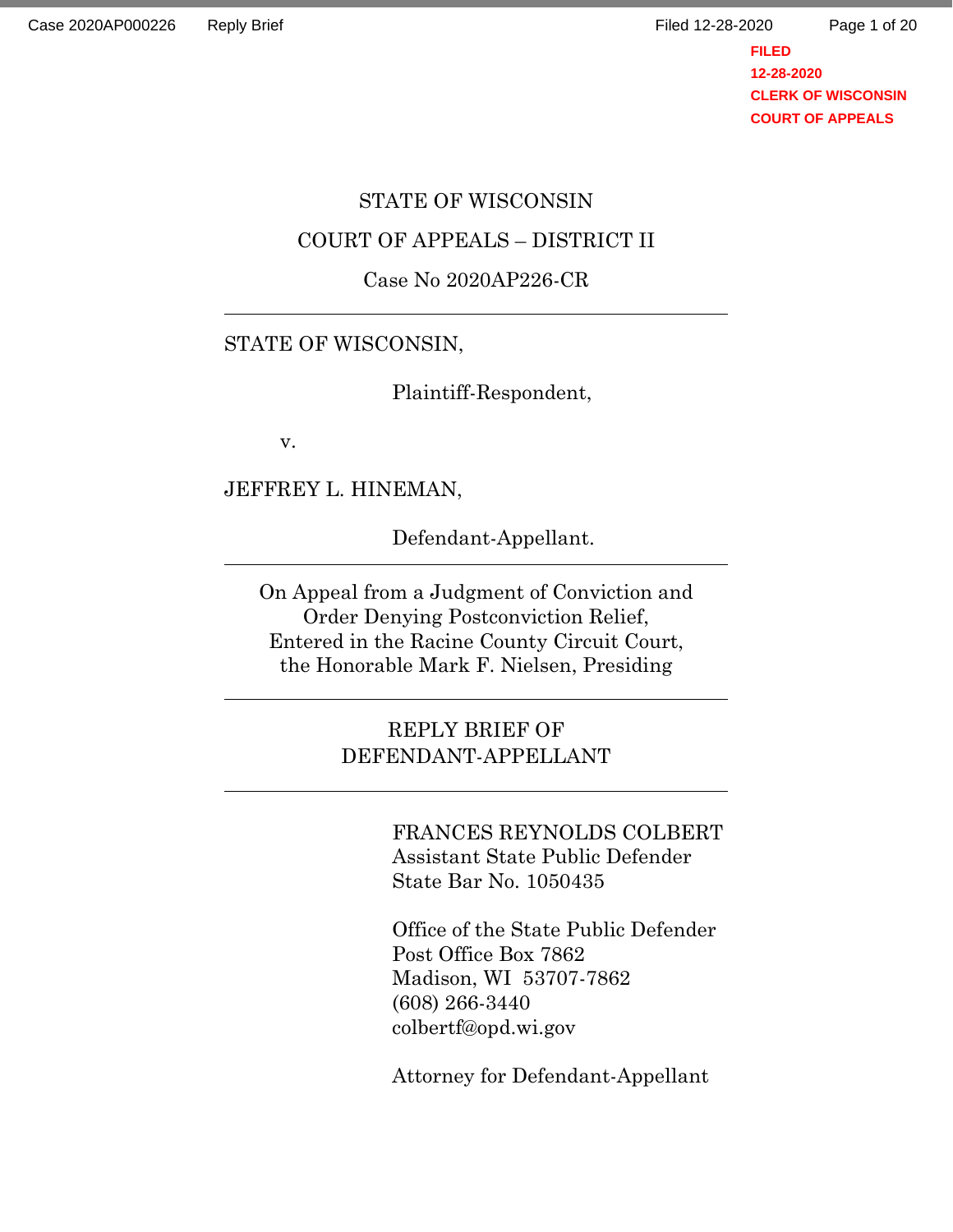Page 1 of 20

**FILED 12-28-2020 CLERK OF WISCONSIN COURT OF APPEALS**

# STATE OF WISCONSIN

### COURT OF APPEALS – DISTRICT II

#### Case No 2020AP226-CR

### STATE OF WISCONSIN,

Plaintiff-Respondent,

v.

JEFFREY L. HINEMAN,

Defendant-Appellant.

On Appeal from a Judgment of Conviction and Order Denying Postconviction Relief, Entered in the Racine County Circuit Court, the Honorable Mark F. Nielsen, Presiding

> REPLY BRIEF OF DEFENDANT-APPELLANT

> > FRANCES REYNOLDS COLBERT Assistant State Public Defender State Bar No. 1050435

Office of the State Public Defender Post Office Box 7862 Madison, WI 53707-7862 (608) 266-3440 colbertf@opd.wi.gov

Attorney for Defendant-Appellant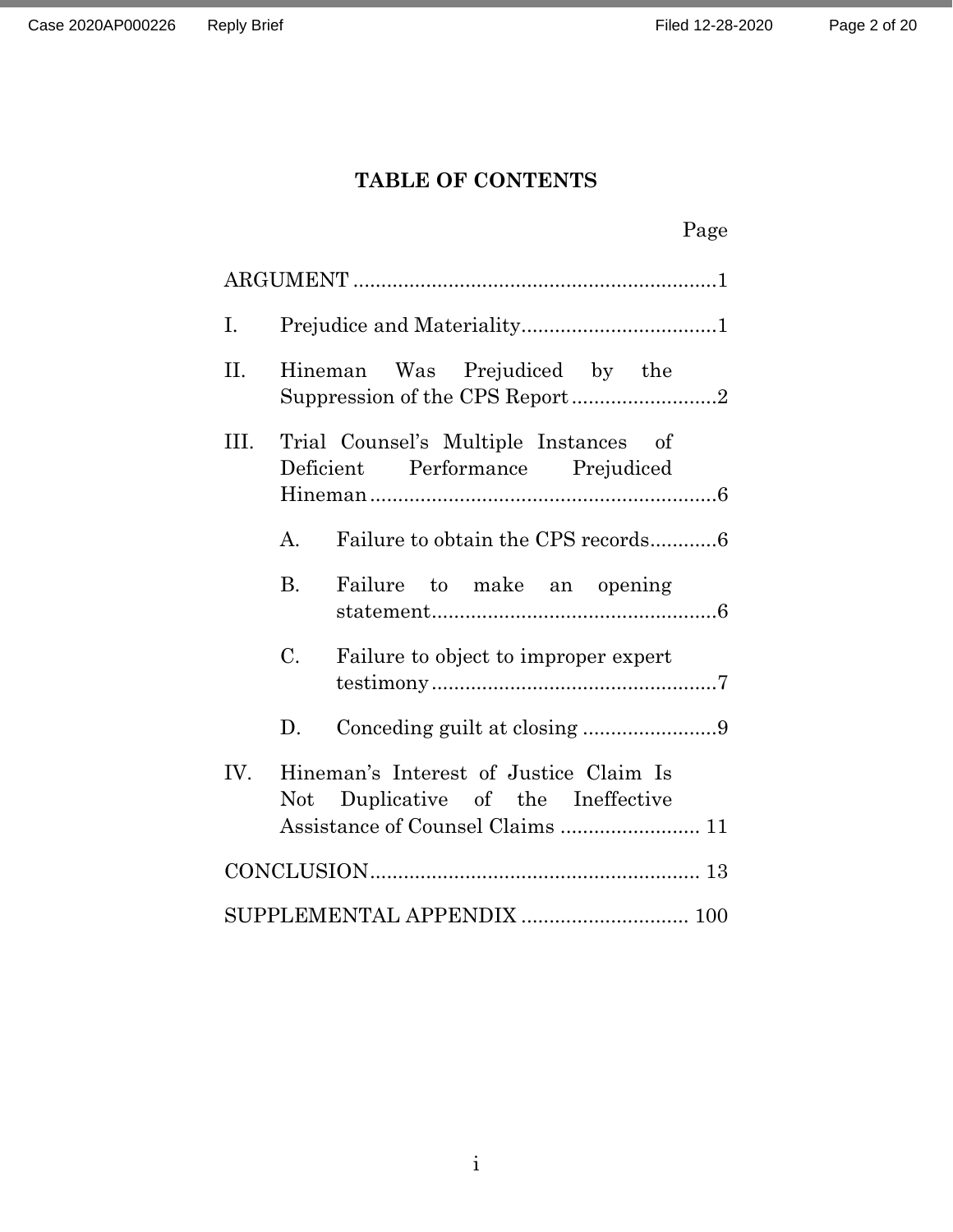# **TABLE OF CONTENTS**

|      |             |                                                                              | Page |  |  |
|------|-------------|------------------------------------------------------------------------------|------|--|--|
|      |             |                                                                              |      |  |  |
| Ι.   |             |                                                                              |      |  |  |
| II.  |             | Hineman Was Prejudiced by the<br>Suppression of the CPS Report2              |      |  |  |
| III. |             | Trial Counsel's Multiple Instances of<br>Deficient Performance Prejudiced    |      |  |  |
|      | A.          | Failure to obtain the CPS records6                                           |      |  |  |
|      | <b>B.</b>   | Failure to make an opening                                                   |      |  |  |
|      | $C_{\cdot}$ | Failure to object to improper expert                                         |      |  |  |
|      | D.          | Conceding guilt at closing 9                                                 |      |  |  |
| IV.  |             | Hineman's Interest of Justice Claim Is<br>Not Duplicative of the Ineffective |      |  |  |
|      |             |                                                                              |      |  |  |
|      |             | SUPPLEMENTAL APPENDIX  100                                                   |      |  |  |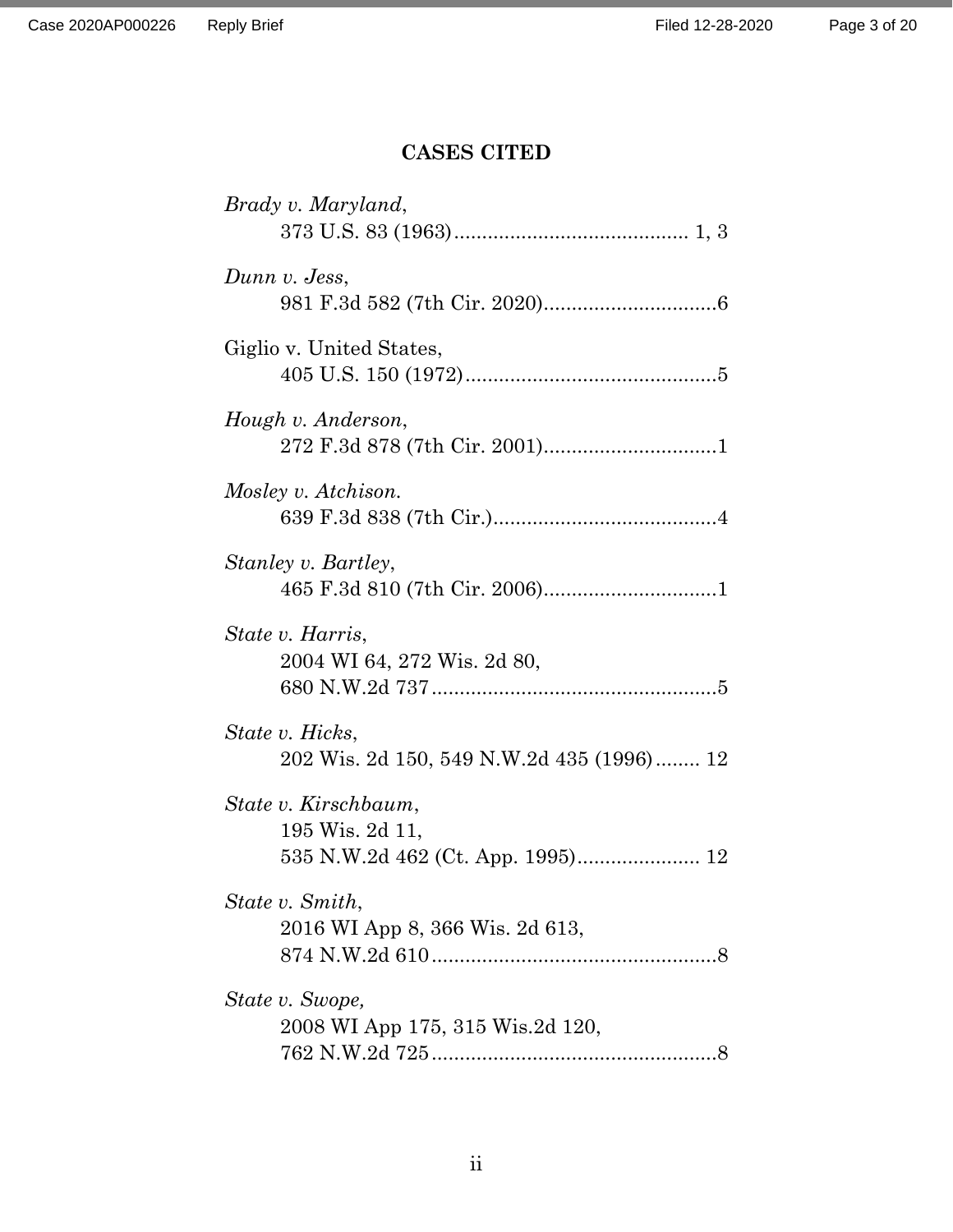# **CASES CITED**

| Brady v. Maryland,                                           |
|--------------------------------------------------------------|
| Dunn v. Jess,                                                |
| Giglio v. United States,                                     |
| Hough v. Anderson,                                           |
| Mosley v. Atchison.                                          |
| Stanley v. Bartley,                                          |
| State v. Harris,<br>2004 WI 64, 272 Wis. 2d 80,              |
| State v. Hicks,<br>202 Wis. 2d 150, 549 N.W.2d 435 (1996) 12 |
| State v. Kirschbaum,<br>195 Wis. 2d 11,                      |
| State v. Smith,<br>2016 WI App 8, 366 Wis. 2d 613,           |
| State v. Swope,<br>2008 WI App 175, 315 Wis.2d 120,          |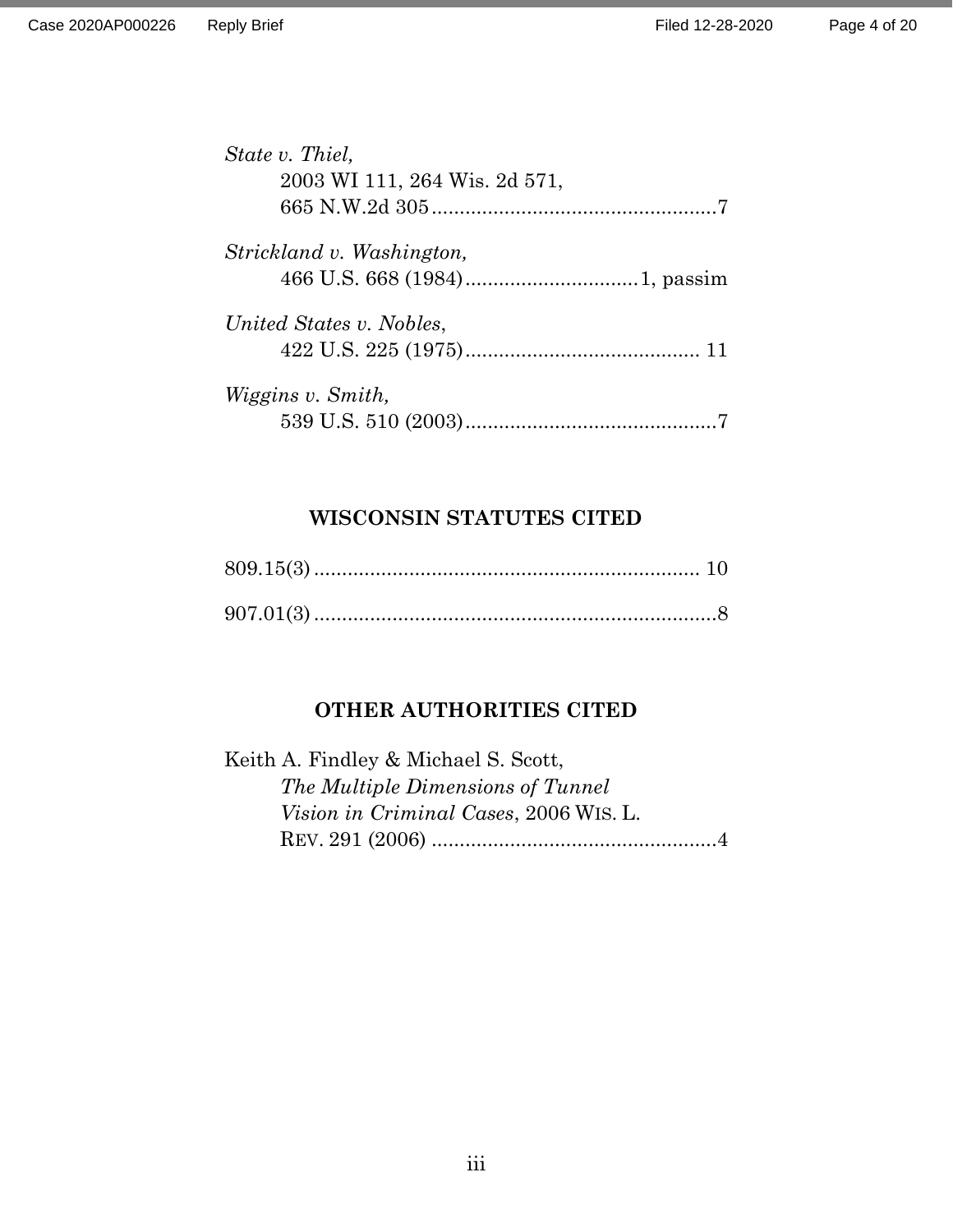| State v. Thiel,               |  |
|-------------------------------|--|
| 2003 WI 111, 264 Wis. 2d 571, |  |
|                               |  |
| Strickland v. Washington,     |  |
|                               |  |
| United States v. Nobles,      |  |
|                               |  |
| <i>Wiggins v. Smith,</i>      |  |
|                               |  |

# **WISCONSIN STATUTES CITED**

# **OTHER AUTHORITIES CITED**

| Keith A. Findley & Michael S. Scott,   |  |
|----------------------------------------|--|
| The Multiple Dimensions of Tunnel      |  |
| Vision in Criminal Cases, 2006 WIS. L. |  |
|                                        |  |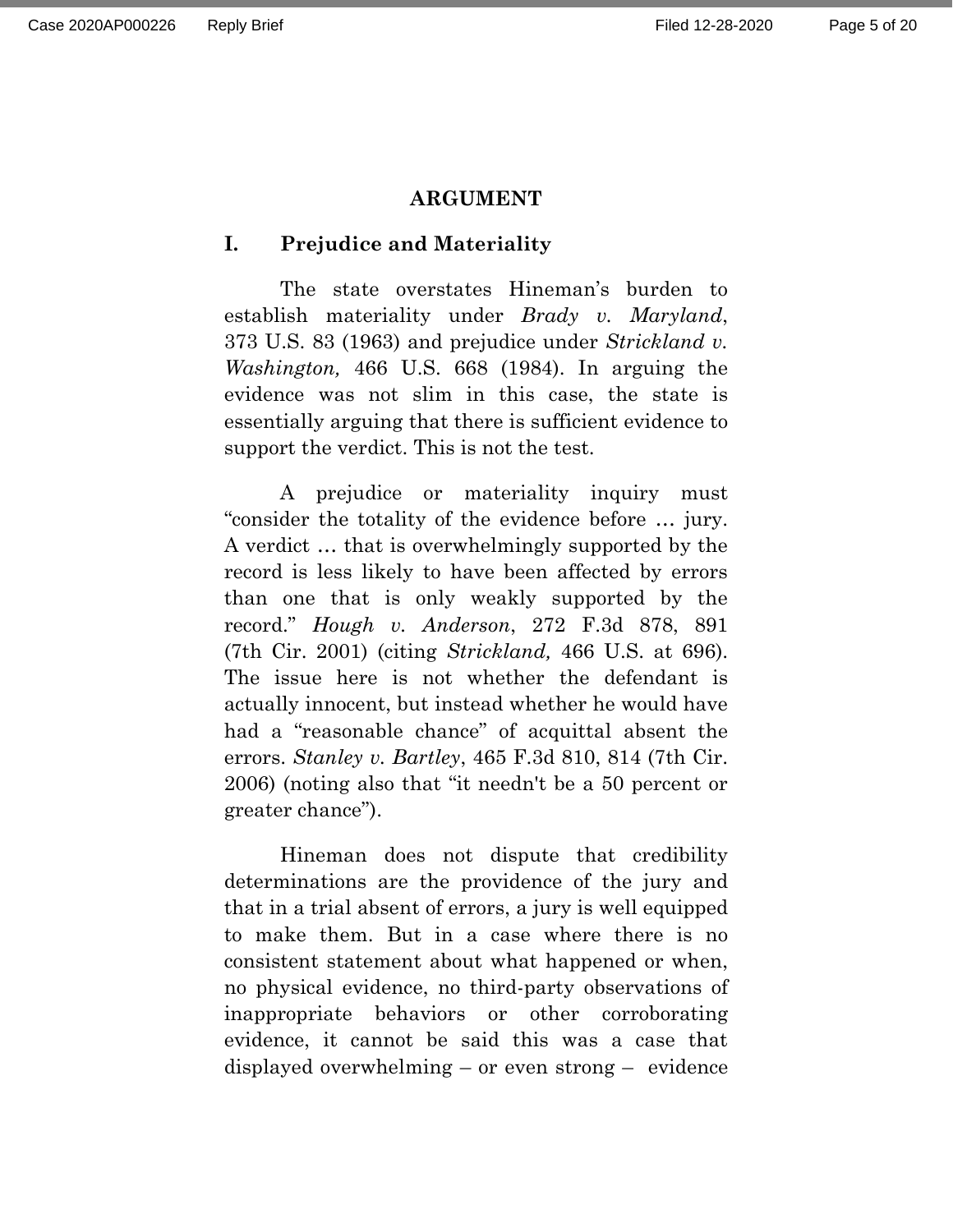#### **ARGUMENT**

### **I. Prejudice and Materiality**

The state overstates Hineman's burden to establish materiality under *Brady v. Maryland*, 373 U.S. 83 (1963) and prejudice under *Strickland v. Washington,* 466 U.S. 668 (1984). In arguing the evidence was not slim in this case, the state is essentially arguing that there is sufficient evidence to support the verdict. This is not the test.

A prejudice or materiality inquiry must "consider the totality of the evidence before … jury. A verdict … that is overwhelmingly supported by the record is less likely to have been affected by errors than one that is only weakly supported by the record." *Hough v. Anderson*, 272 F.3d 878, 891 (7th Cir. 2001) (citing *Strickland,* 466 U.S. at 696). The issue here is not whether the defendant is actually innocent, but instead whether he would have had a "reasonable chance" of acquittal absent the errors. *Stanley v. Bartley*, 465 F.3d 810, 814 (7th Cir. 2006) (noting also that "it needn't be a 50 percent or greater chance").

Hineman does not dispute that credibility determinations are the providence of the jury and that in a trial absent of errors, a jury is well equipped to make them. But in a case where there is no consistent statement about what happened or when, no physical evidence, no third-party observations of inappropriate behaviors or other corroborating evidence, it cannot be said this was a case that displayed overwhelming – or even strong – evidence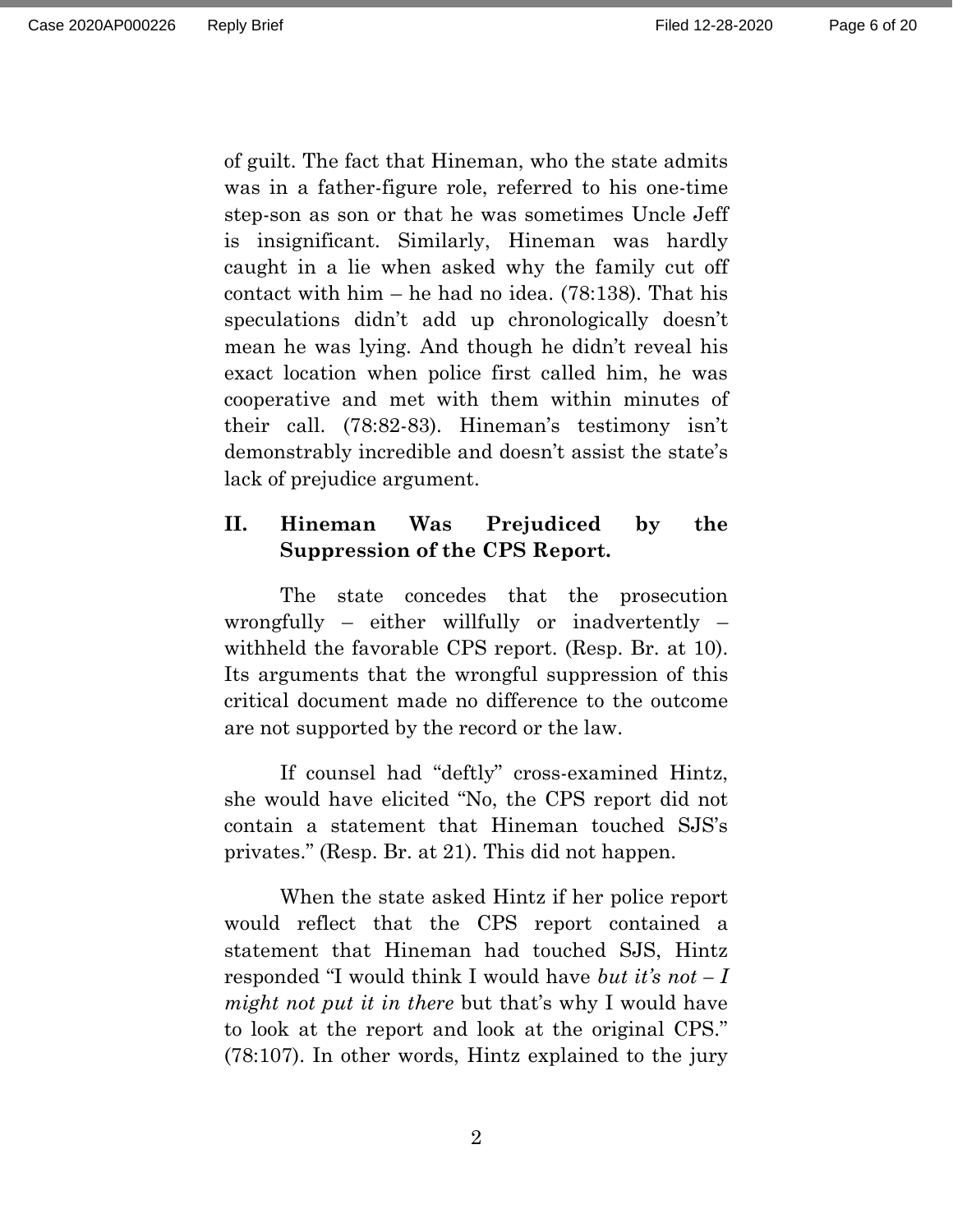of guilt. The fact that Hineman, who the state admits was in a father-figure role, referred to his one-time step-son as son or that he was sometimes Uncle Jeff is insignificant. Similarly, Hineman was hardly caught in a lie when asked why the family cut off contact with him – he had no idea. (78:138). That his speculations didn't add up chronologically doesn't mean he was lying. And though he didn't reveal his exact location when police first called him, he was cooperative and met with them within minutes of their call. (78:82-83). Hineman's testimony isn't demonstrably incredible and doesn't assist the state's lack of prejudice argument.

### **II. Hineman Was Prejudiced by the Suppression of the CPS Report.**

The state concedes that the prosecution wrongfully – either willfully or inadvertently – withheld the favorable CPS report. (Resp. Br. at 10). Its arguments that the wrongful suppression of this critical document made no difference to the outcome are not supported by the record or the law.

If counsel had "deftly" cross-examined Hintz, she would have elicited "No, the CPS report did not contain a statement that Hineman touched SJS's privates." (Resp. Br. at 21). This did not happen.

When the state asked Hintz if her police report would reflect that the CPS report contained a statement that Hineman had touched SJS, Hintz responded "I would think I would have *but it's not – I might not put it in there* but that's why I would have to look at the report and look at the original CPS." (78:107). In other words, Hintz explained to the jury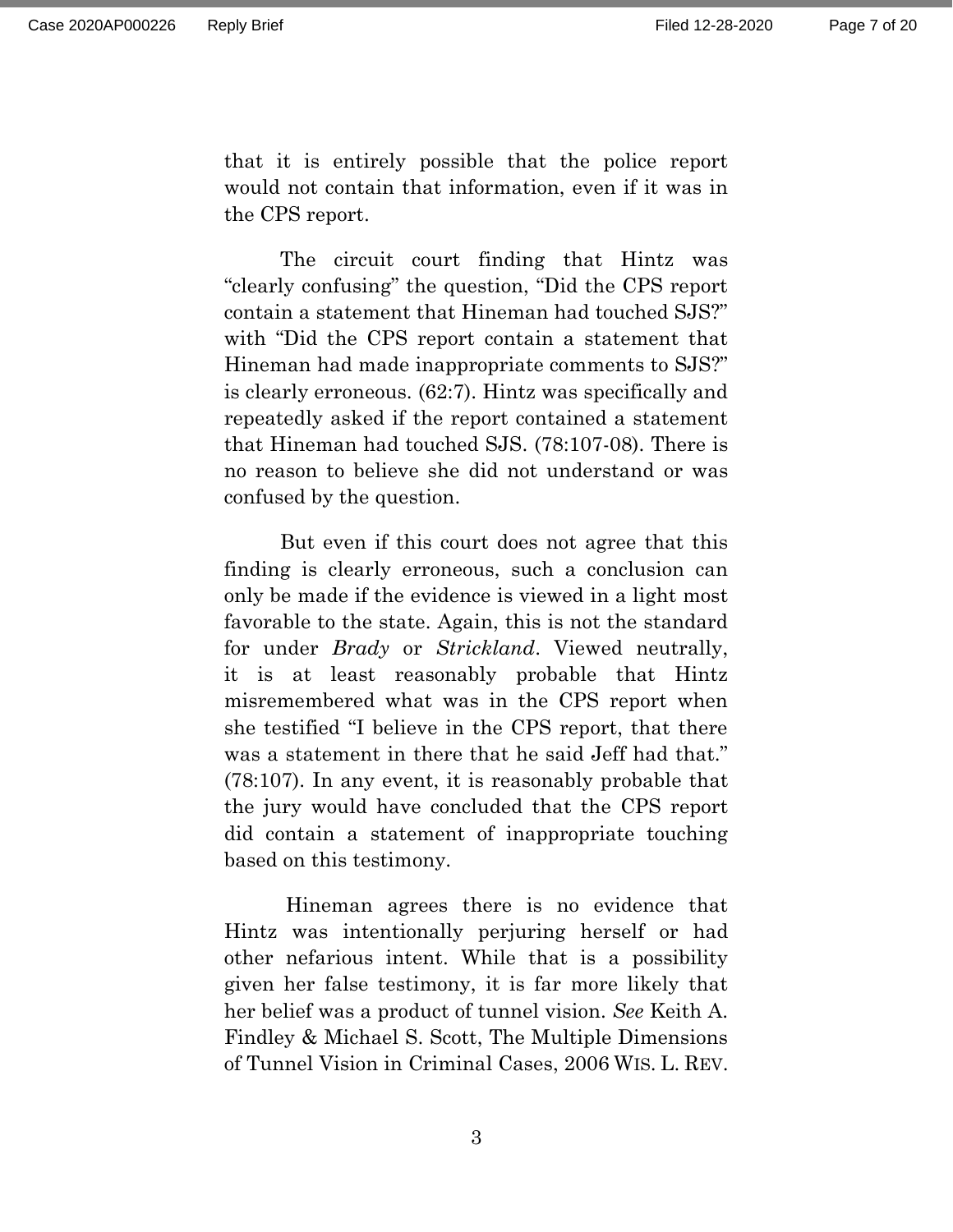that it is entirely possible that the police report would not contain that information, even if it was in the CPS report.

The circuit court finding that Hintz was "clearly confusing" the question, "Did the CPS report contain a statement that Hineman had touched SJS?" with "Did the CPS report contain a statement that Hineman had made inappropriate comments to SJS?" is clearly erroneous. (62:7). Hintz was specifically and repeatedly asked if the report contained a statement that Hineman had touched SJS. (78:107-08). There is no reason to believe she did not understand or was confused by the question.

But even if this court does not agree that this finding is clearly erroneous, such a conclusion can only be made if the evidence is viewed in a light most favorable to the state. Again, this is not the standard for under *Brady* or *Strickland*. Viewed neutrally, it is at least reasonably probable that Hintz misremembered what was in the CPS report when she testified "I believe in the CPS report, that there was a statement in there that he said Jeff had that." (78:107). In any event, it is reasonably probable that the jury would have concluded that the CPS report did contain a statement of inappropriate touching based on this testimony.

Hineman agrees there is no evidence that Hintz was intentionally perjuring herself or had other nefarious intent. While that is a possibility given her false testimony, it is far more likely that her belief was a product of tunnel vision. *See* Keith A. Findley & Michael S. Scott, The Multiple Dimensions of Tunnel Vision in Criminal Cases, 2006 WIS. L. REV.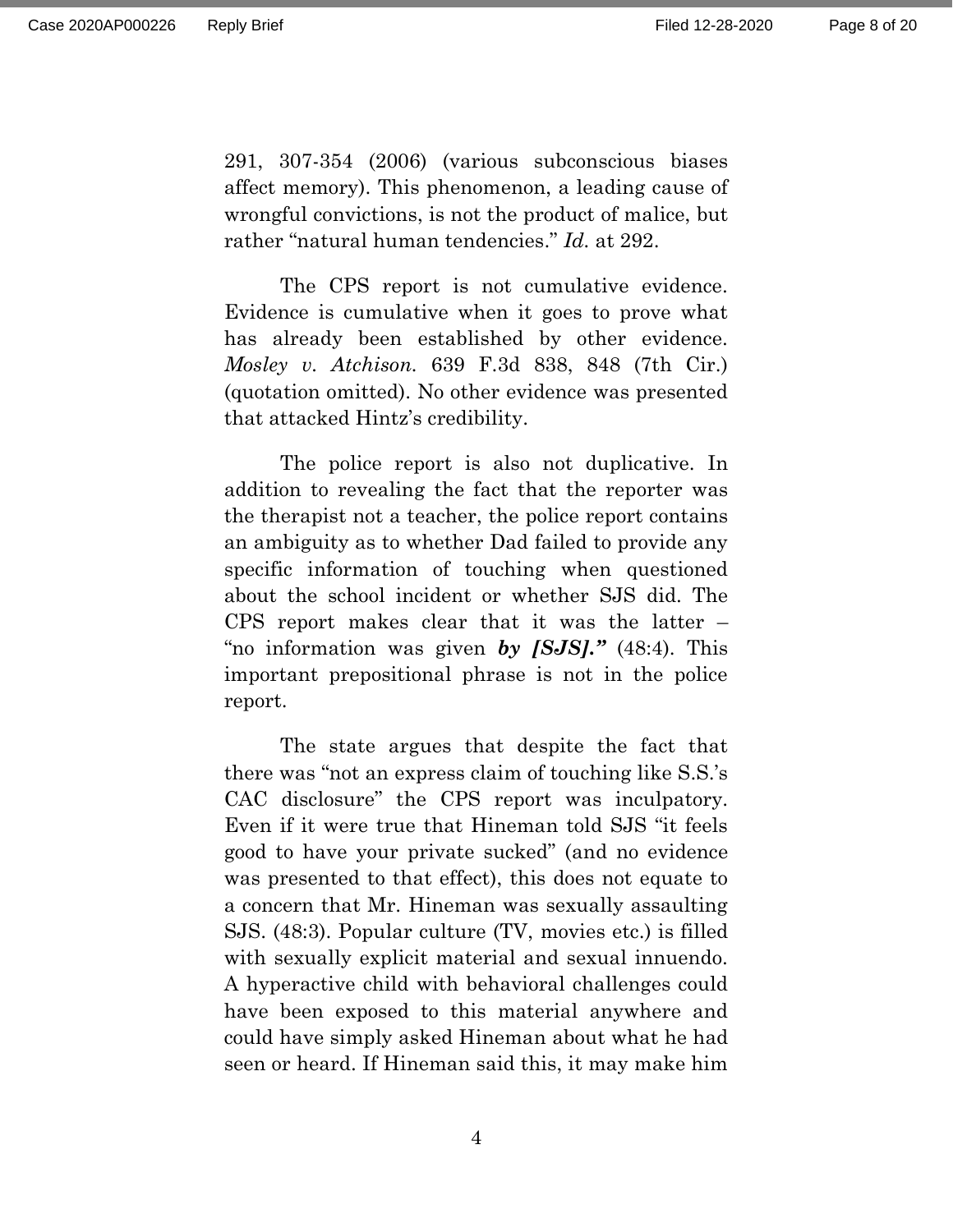Page 8 of 20

291, 307-354 (2006) (various subconscious biases affect memory). This phenomenon, a leading cause of wrongful convictions, is not the product of malice, but rather "natural human tendencies." *Id.* at 292.

The CPS report is not cumulative evidence. Evidence is cumulative when it goes to prove what has already been established by other evidence. *Mosley v. Atchison.* 639 F.3d 838, 848 (7th Cir.) (quotation omitted). No other evidence was presented that attacked Hintz's credibility.

The police report is also not duplicative. In addition to revealing the fact that the reporter was the therapist not a teacher, the police report contains an ambiguity as to whether Dad failed to provide any specific information of touching when questioned about the school incident or whether SJS did. The CPS report makes clear that it was the latter – "no information was given *by [SJS]."* (48:4). This important prepositional phrase is not in the police report.

The state argues that despite the fact that there was "not an express claim of touching like S.S.'s CAC disclosure" the CPS report was inculpatory. Even if it were true that Hineman told SJS "it feels good to have your private sucked" (and no evidence was presented to that effect), this does not equate to a concern that Mr. Hineman was sexually assaulting SJS. (48:3). Popular culture (TV, movies etc.) is filled with sexually explicit material and sexual innuendo. A hyperactive child with behavioral challenges could have been exposed to this material anywhere and could have simply asked Hineman about what he had seen or heard. If Hineman said this, it may make him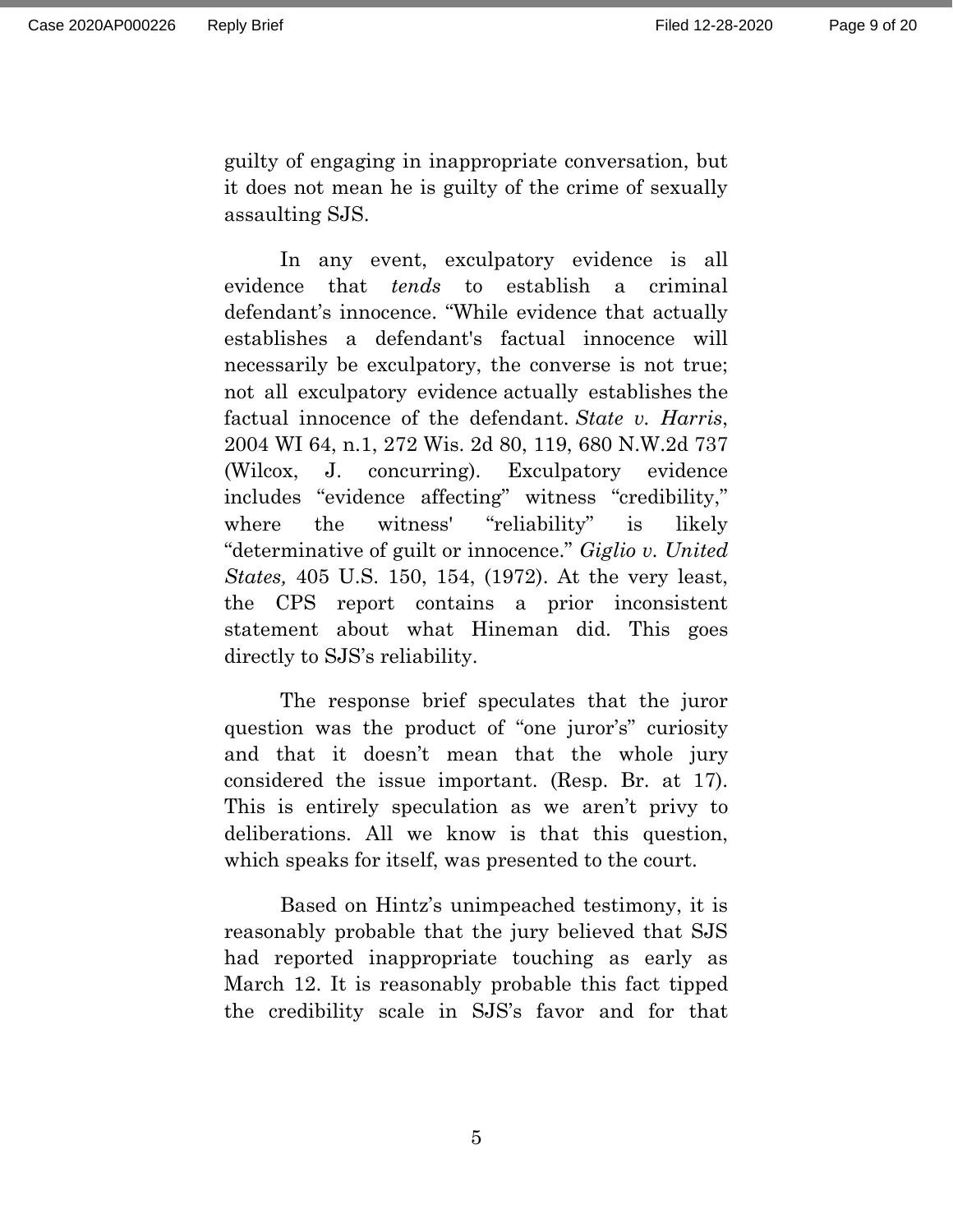guilty of engaging in inappropriate conversation, but it does not mean he is guilty of the crime of sexually assaulting SJS.

In any event, exculpatory evidence is all evidence that *tends* to establish a criminal defendant's innocence. "While evidence that actually establishes a defendant's factual innocence will necessarily be exculpatory, the converse is not true; not all exculpatory evidence actually establishes the factual innocence of the defendant. *State v. Harris*, 2004 WI 64, n.1, 272 Wis. 2d 80, 119, 680 N.W.2d 737 (Wilcox, J. concurring). Exculpatory evidence includes "evidence affecting" witness "credibility," where the witness' "reliability" is likely "determinative of guilt or innocence." *Giglio v. United States,* 405 U.S. 150, 154, (1972). At the very least, the CPS report contains a prior inconsistent statement about what Hineman did. This goes directly to SJS's reliability.

The response brief speculates that the juror question was the product of "one juror's" curiosity and that it doesn't mean that the whole jury considered the issue important. (Resp. Br. at 17). This is entirely speculation as we aren't privy to deliberations. All we know is that this question, which speaks for itself, was presented to the court.

Based on Hintz's unimpeached testimony, it is reasonably probable that the jury believed that SJS had reported inappropriate touching as early as March 12. It is reasonably probable this fact tipped the credibility scale in SJS's favor and for that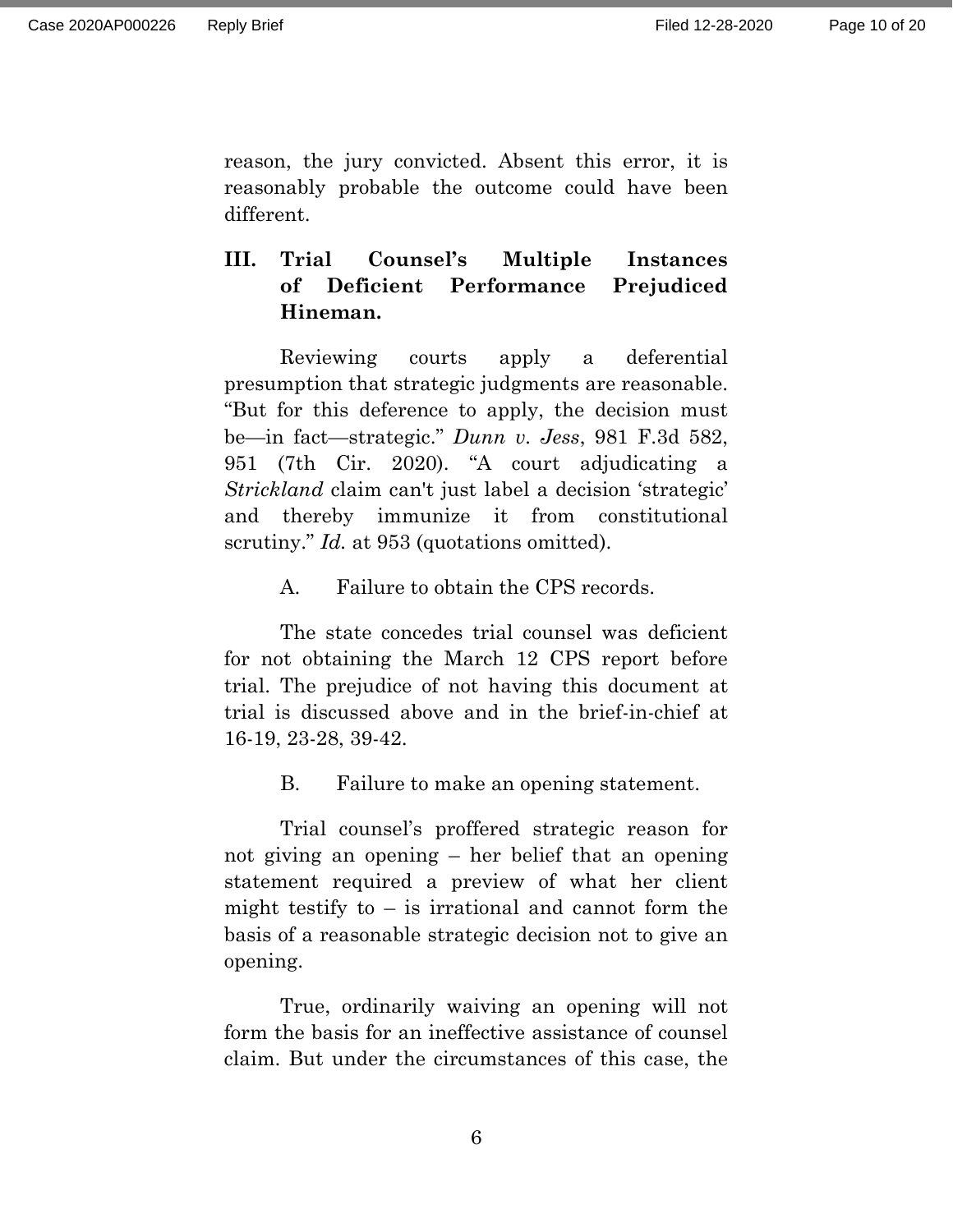reason, the jury convicted. Absent this error, it is reasonably probable the outcome could have been different.

# **III. Trial Counsel's Multiple Instances of Deficient Performance Prejudiced Hineman.**

Reviewing courts apply a deferential presumption that strategic judgments are reasonable. "But for this deference to apply, the decision must be—in fact—strategic." *Dunn v. Jess*, 981 F.3d 582, 951 (7th Cir. 2020). "A court adjudicating a *Strickland* claim can't just label a decision 'strategic' and thereby immunize it from constitutional scrutiny." *Id.* at 953 (quotations omitted).

A. Failure to obtain the CPS records.

The state concedes trial counsel was deficient for not obtaining the March 12 CPS report before trial. The prejudice of not having this document at trial is discussed above and in the brief-in-chief at 16-19, 23-28, 39-42.

B. Failure to make an opening statement.

Trial counsel's proffered strategic reason for not giving an opening – her belief that an opening statement required a preview of what her client might testify to  $-$  is irrational and cannot form the basis of a reasonable strategic decision not to give an opening.

True, ordinarily waiving an opening will not form the basis for an ineffective assistance of counsel claim. But under the circumstances of this case, the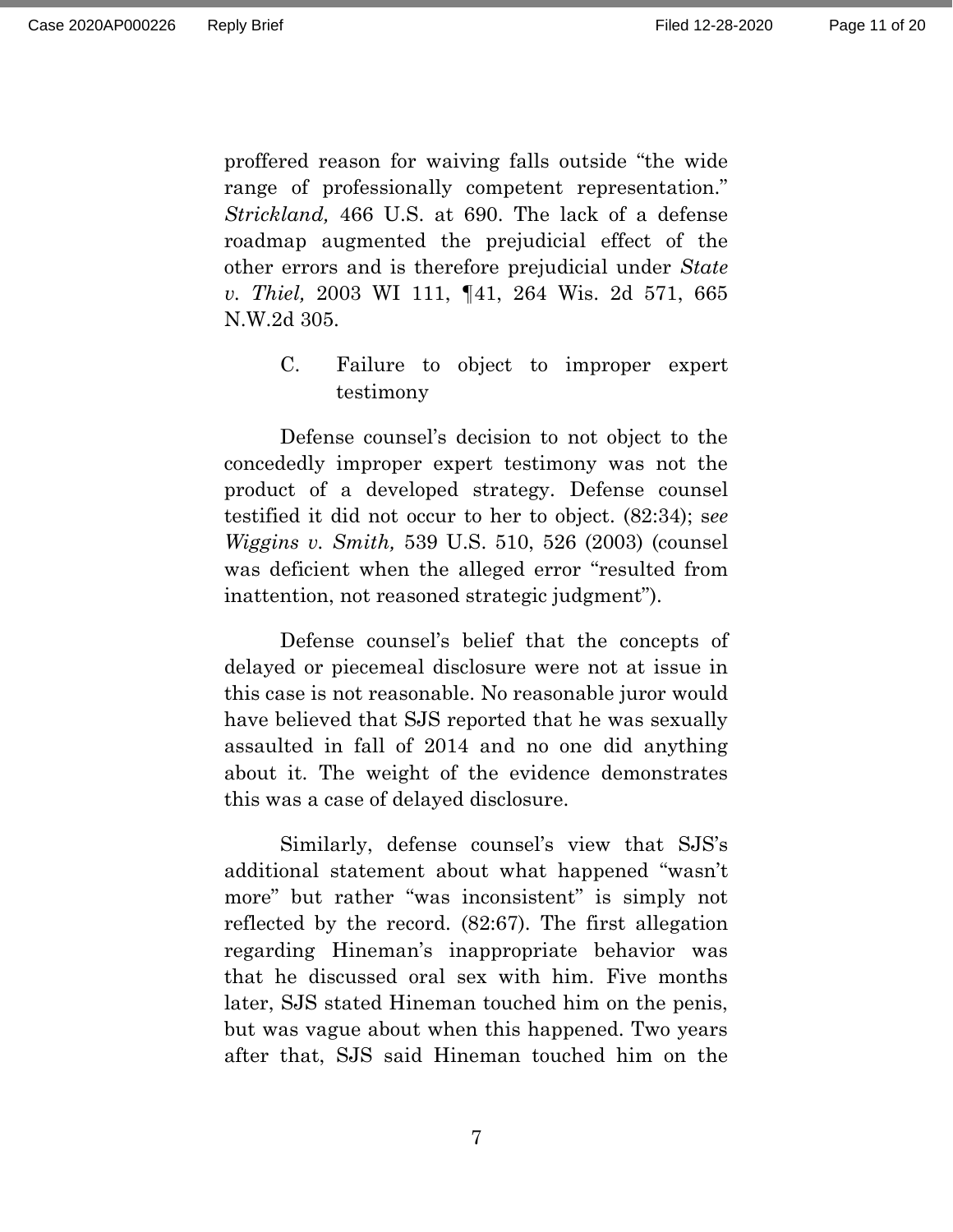proffered reason for waiving falls outside "the wide range of professionally competent representation." *Strickland,* 466 U.S. at 690. The lack of a defense roadmap augmented the prejudicial effect of the other errors and is therefore prejudicial under *State v. Thiel,* 2003 WI 111, ¶41, 264 Wis. 2d 571, 665 N.W.2d 305.

> C. Failure to object to improper expert testimony

Defense counsel's decision to not object to the concededly improper expert testimony was not the product of a developed strategy. Defense counsel testified it did not occur to her to object. (82:34); s*ee Wiggins v. Smith,* 539 U.S. 510, 526 (2003) (counsel was deficient when the alleged error "resulted from inattention, not reasoned strategic judgment").

Defense counsel's belief that the concepts of delayed or piecemeal disclosure were not at issue in this case is not reasonable. No reasonable juror would have believed that SJS reported that he was sexually assaulted in fall of 2014 and no one did anything about it. The weight of the evidence demonstrates this was a case of delayed disclosure.

Similarly, defense counsel's view that SJS's additional statement about what happened "wasn't more" but rather "was inconsistent" is simply not reflected by the record. (82:67). The first allegation regarding Hineman's inappropriate behavior was that he discussed oral sex with him. Five months later, SJS stated Hineman touched him on the penis, but was vague about when this happened. Two years after that, SJS said Hineman touched him on the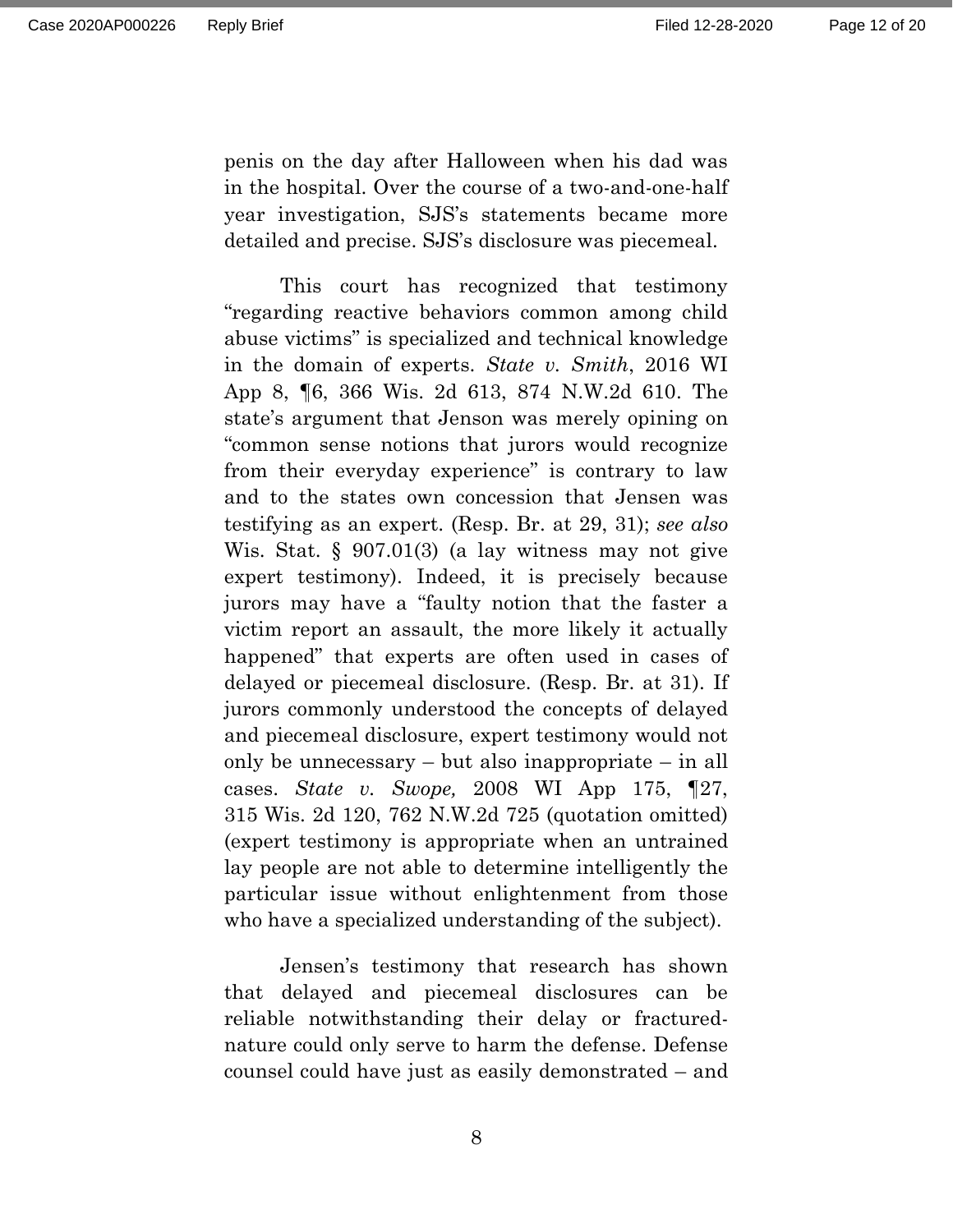penis on the day after Halloween when his dad was in the hospital. Over the course of a two-and-one-half year investigation, SJS's statements became more detailed and precise. SJS's disclosure was piecemeal.

This court has recognized that testimony "regarding reactive behaviors common among child abuse victims" is specialized and technical knowledge in the domain of experts. *State v. Smith*, 2016 WI App 8, ¶6, 366 Wis. 2d 613, 874 N.W.2d 610. The state's argument that Jenson was merely opining on "common sense notions that jurors would recognize from their everyday experience" is contrary to law and to the states own concession that Jensen was testifying as an expert. (Resp. Br. at 29, 31); *see also*  Wis. Stat. § 907.01(3) (a lay witness may not give expert testimony). Indeed, it is precisely because jurors may have a "faulty notion that the faster a victim report an assault, the more likely it actually happened" that experts are often used in cases of delayed or piecemeal disclosure. (Resp. Br. at 31). If jurors commonly understood the concepts of delayed and piecemeal disclosure, expert testimony would not only be unnecessary – but also inappropriate – in all cases. *State v. Swope,* 2008 WI App 175, ¶27, 315 Wis. 2d 120, 762 N.W.2d 725 (quotation omitted) (expert testimony is appropriate when an untrained lay people are not able to determine intelligently the particular issue without enlightenment from those who have a specialized understanding of the subject).

Jensen's testimony that research has shown that delayed and piecemeal disclosures can be reliable notwithstanding their delay or fracturednature could only serve to harm the defense. Defense counsel could have just as easily demonstrated – and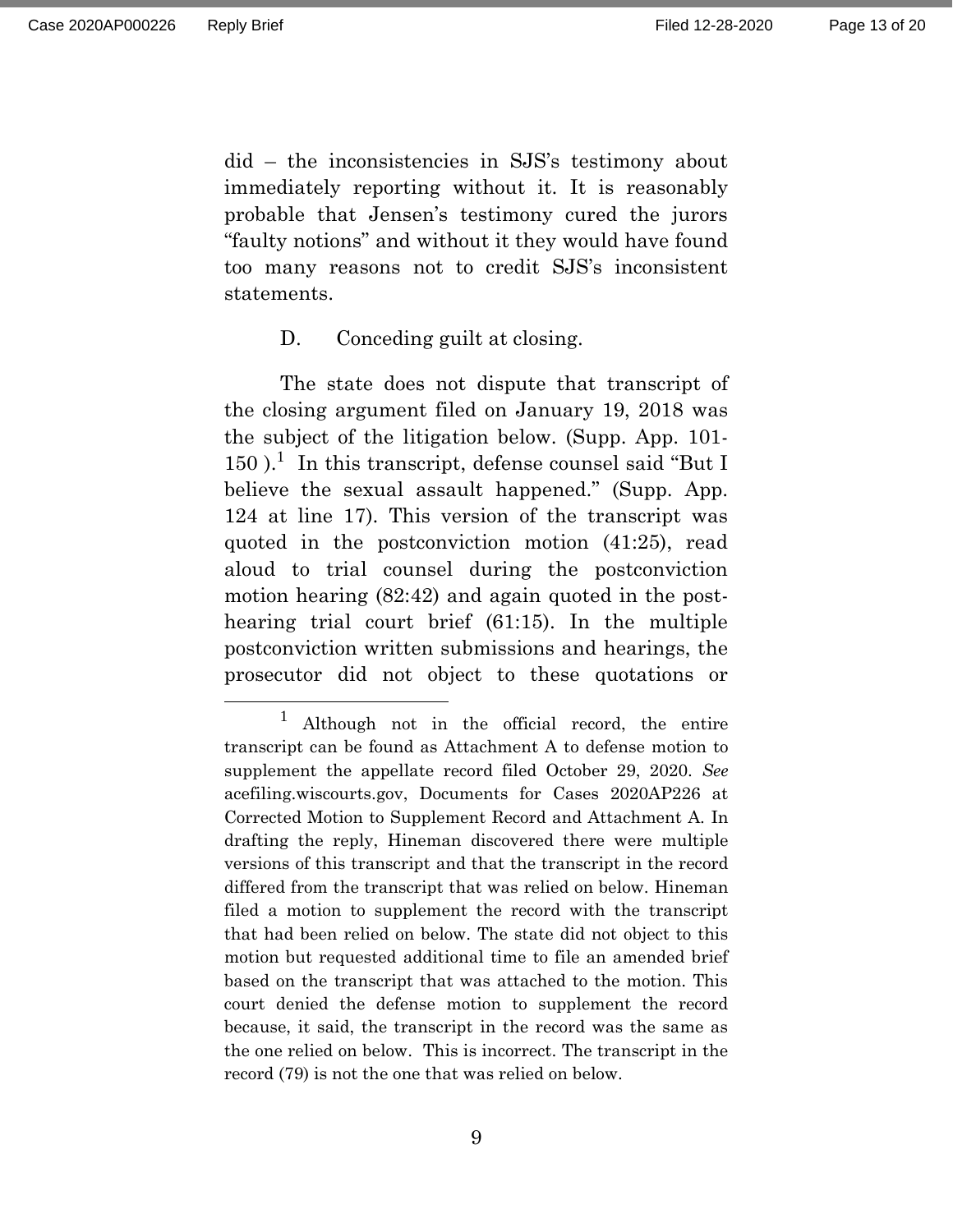did – the inconsistencies in SJS's testimony about immediately reporting without it. It is reasonably probable that Jensen's testimony cured the jurors "faulty notions" and without it they would have found too many reasons not to credit SJS's inconsistent statements.

#### D. Conceding guilt at closing.

The state does not dispute that transcript of the closing argument filed on January 19, 2018 was the subject of the litigation below. (Supp. App. 101-  $150$ ).<sup>1</sup> In this transcript, defense counsel said "But I believe the sexual assault happened." (Supp. App. 124 at line 17). This version of the transcript was quoted in the postconviction motion (41:25), read aloud to trial counsel during the postconviction motion hearing (82:42) and again quoted in the posthearing trial court brief (61:15). In the multiple postconviction written submissions and hearings, the prosecutor did not object to these quotations or

Although not in the official record, the entire transcript can be found as Attachment A to defense motion to supplement the appellate record filed October 29, 2020. *See*  acefiling.wiscourts.gov, Documents for Cases 2020AP226 at Corrected Motion to Supplement Record and Attachment A. In drafting the reply, Hineman discovered there were multiple versions of this transcript and that the transcript in the record differed from the transcript that was relied on below. Hineman filed a motion to supplement the record with the transcript that had been relied on below. The state did not object to this motion but requested additional time to file an amended brief based on the transcript that was attached to the motion. This court denied the defense motion to supplement the record because, it said, the transcript in the record was the same as the one relied on below. This is incorrect. The transcript in the record (79) is not the one that was relied on below.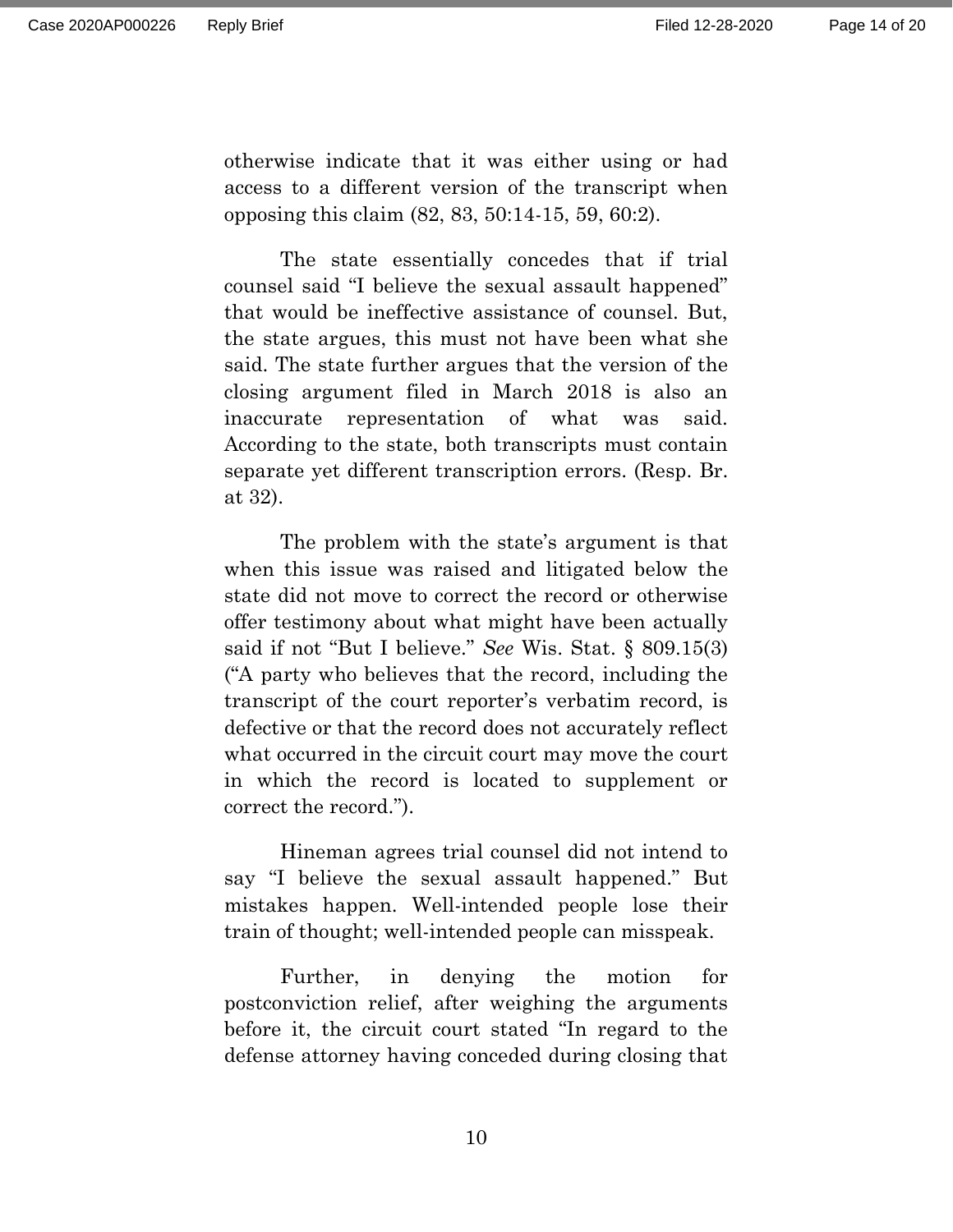Page 14 of 20

otherwise indicate that it was either using or had access to a different version of the transcript when opposing this claim (82, 83, 50:14-15, 59, 60:2).

The state essentially concedes that if trial counsel said "I believe the sexual assault happened" that would be ineffective assistance of counsel. But, the state argues, this must not have been what she said. The state further argues that the version of the closing argument filed in March 2018 is also an inaccurate representation of what was said. According to the state, both transcripts must contain separate yet different transcription errors. (Resp. Br. at 32).

The problem with the state's argument is that when this issue was raised and litigated below the state did not move to correct the record or otherwise offer testimony about what might have been actually said if not "But I believe." *See* Wis. Stat. § 809.15(3) ("A party who believes that the record, including the transcript of the court reporter's verbatim record, is defective or that the record does not accurately reflect what occurred in the circuit court may move the court in which the record is located to supplement or correct the record.").

Hineman agrees trial counsel did not intend to say "I believe the sexual assault happened." But mistakes happen. Well-intended people lose their train of thought; well-intended people can misspeak.

Further, in denying the motion for postconviction relief, after weighing the arguments before it, the circuit court stated "In regard to the defense attorney having conceded during closing that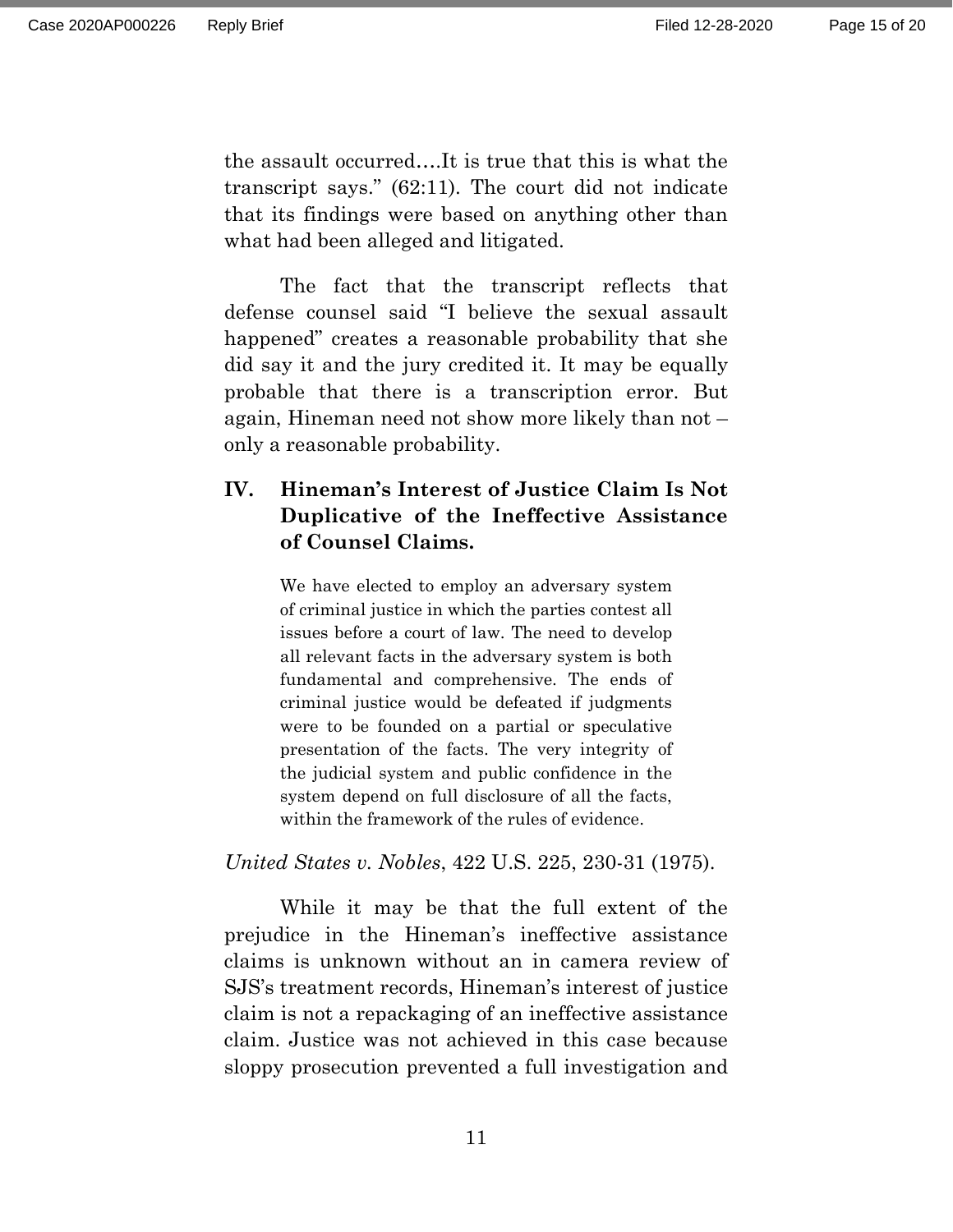the assault occurred….It is true that this is what the transcript says." (62:11). The court did not indicate that its findings were based on anything other than what had been alleged and litigated.

The fact that the transcript reflects that defense counsel said "I believe the sexual assault happened" creates a reasonable probability that she did say it and the jury credited it. It may be equally probable that there is a transcription error. But again, Hineman need not show more likely than not – only a reasonable probability.

# **IV. Hineman's Interest of Justice Claim Is Not Duplicative of the Ineffective Assistance of Counsel Claims.**

We have elected to employ an adversary system of criminal justice in which the parties contest all issues before a court of law. The need to develop all relevant facts in the adversary system is both fundamental and comprehensive. The ends of criminal justice would be defeated if judgments were to be founded on a partial or speculative presentation of the facts. The very integrity of the judicial system and public confidence in the system depend on full disclosure of all the facts, within the framework of the rules of evidence.

*United States v. Nobles*, 422 U.S. 225, 230-31 (1975).

While it may be that the full extent of the prejudice in the Hineman's ineffective assistance claims is unknown without an in camera review of SJS's treatment records, Hineman's interest of justice claim is not a repackaging of an ineffective assistance claim. Justice was not achieved in this case because sloppy prosecution prevented a full investigation and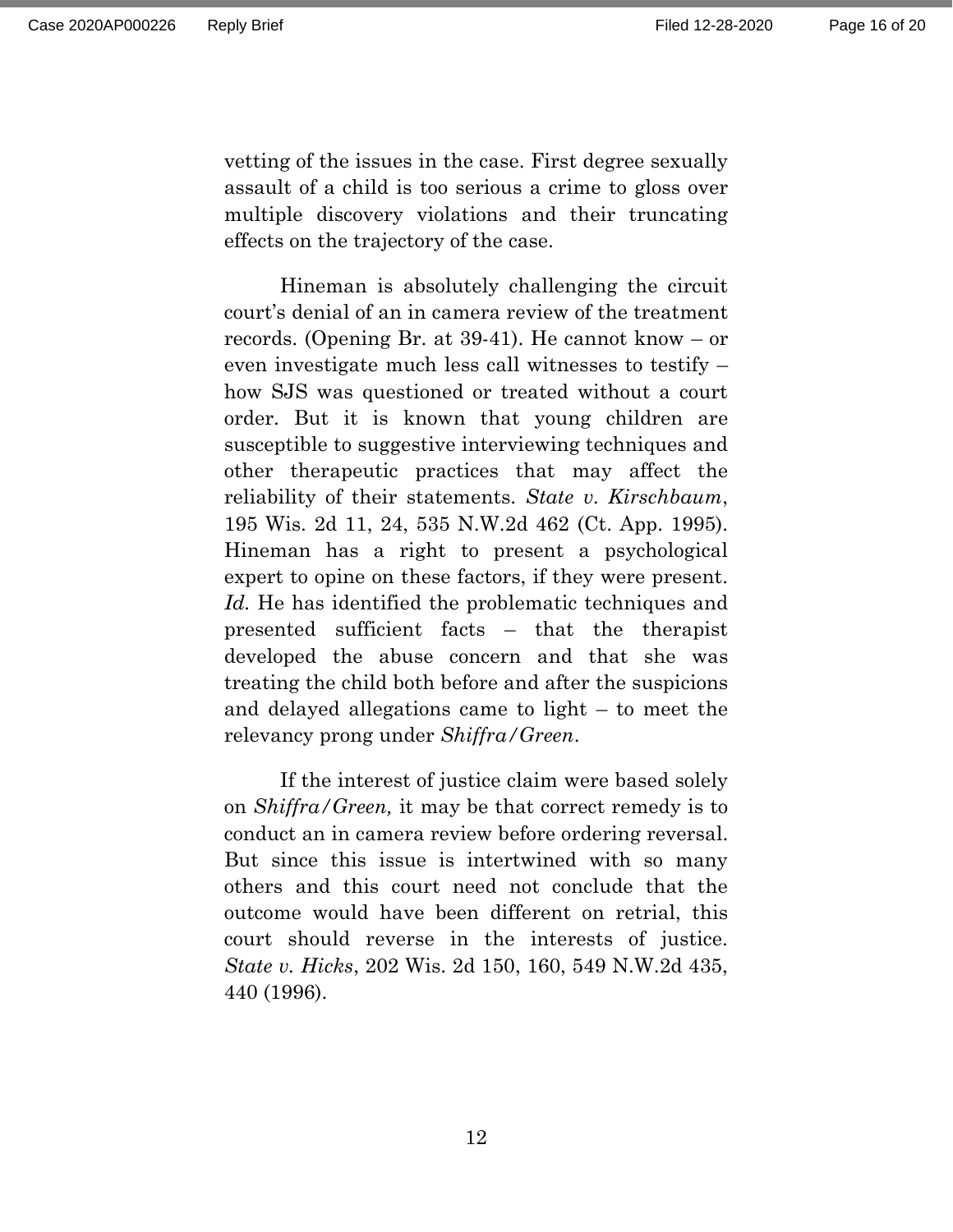vetting of the issues in the case. First degree sexually assault of a child is too serious a crime to gloss over multiple discovery violations and their truncating effects on the trajectory of the case.

Hineman is absolutely challenging the circuit court's denial of an in camera review of the treatment records. (Opening Br. at 39-41). He cannot know – or even investigate much less call witnesses to testify – how SJS was questioned or treated without a court order. But it is known that young children are susceptible to suggestive interviewing techniques and other therapeutic practices that may affect the reliability of their statements. *State v. Kirschbaum*, 195 Wis. 2d 11, 24, 535 N.W.2d 462 (Ct. App. 1995). Hineman has a right to present a psychological expert to opine on these factors, if they were present. *Id.* He has identified the problematic techniques and presented sufficient facts – that the therapist developed the abuse concern and that she was treating the child both before and after the suspicions and delayed allegations came to light – to meet the relevancy prong under *Shiffra/Green*.

If the interest of justice claim were based solely on *Shiffra/Green,* it may be that correct remedy is to conduct an in camera review before ordering reversal. But since this issue is intertwined with so many others and this court need not conclude that the outcome would have been different on retrial, this court should reverse in the interests of justice. *State v. Hicks*, 202 Wis. 2d 150, 160, 549 N.W.2d 435, 440 (1996).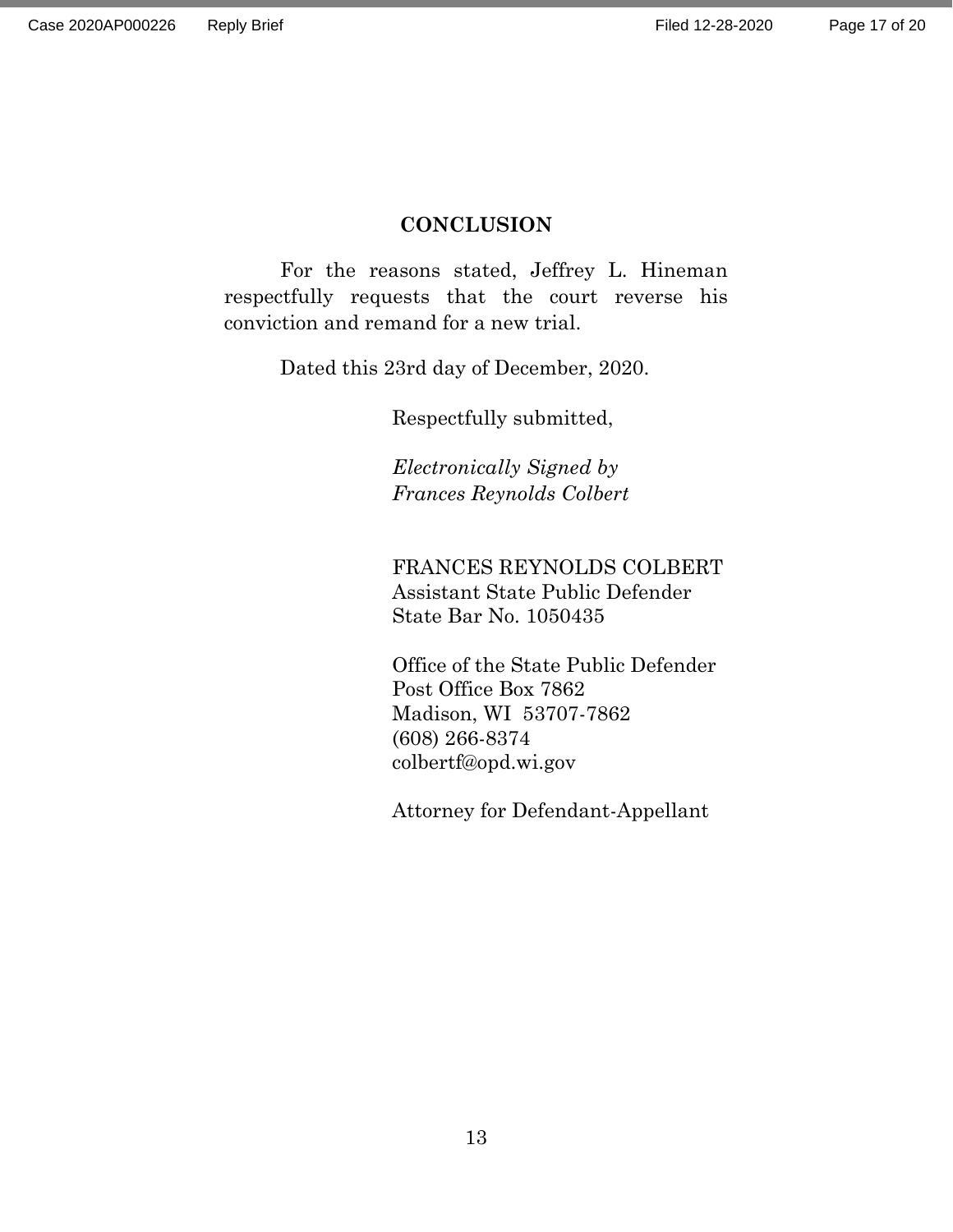#### **CONCLUSION**

For the reasons stated, Jeffrey L. Hineman respectfully requests that the court reverse his conviction and remand for a new trial.

Dated this 23rd day of December, 2020.

Respectfully submitted,

*Electronically Signed by Frances Reynolds Colbert*

FRANCES REYNOLDS COLBERT Assistant State Public Defender State Bar No. 1050435

Office of the State Public Defender Post Office Box 7862 Madison, WI 53707-7862 (608) 266-8374 colbertf@opd.wi.gov

Attorney for Defendant-Appellant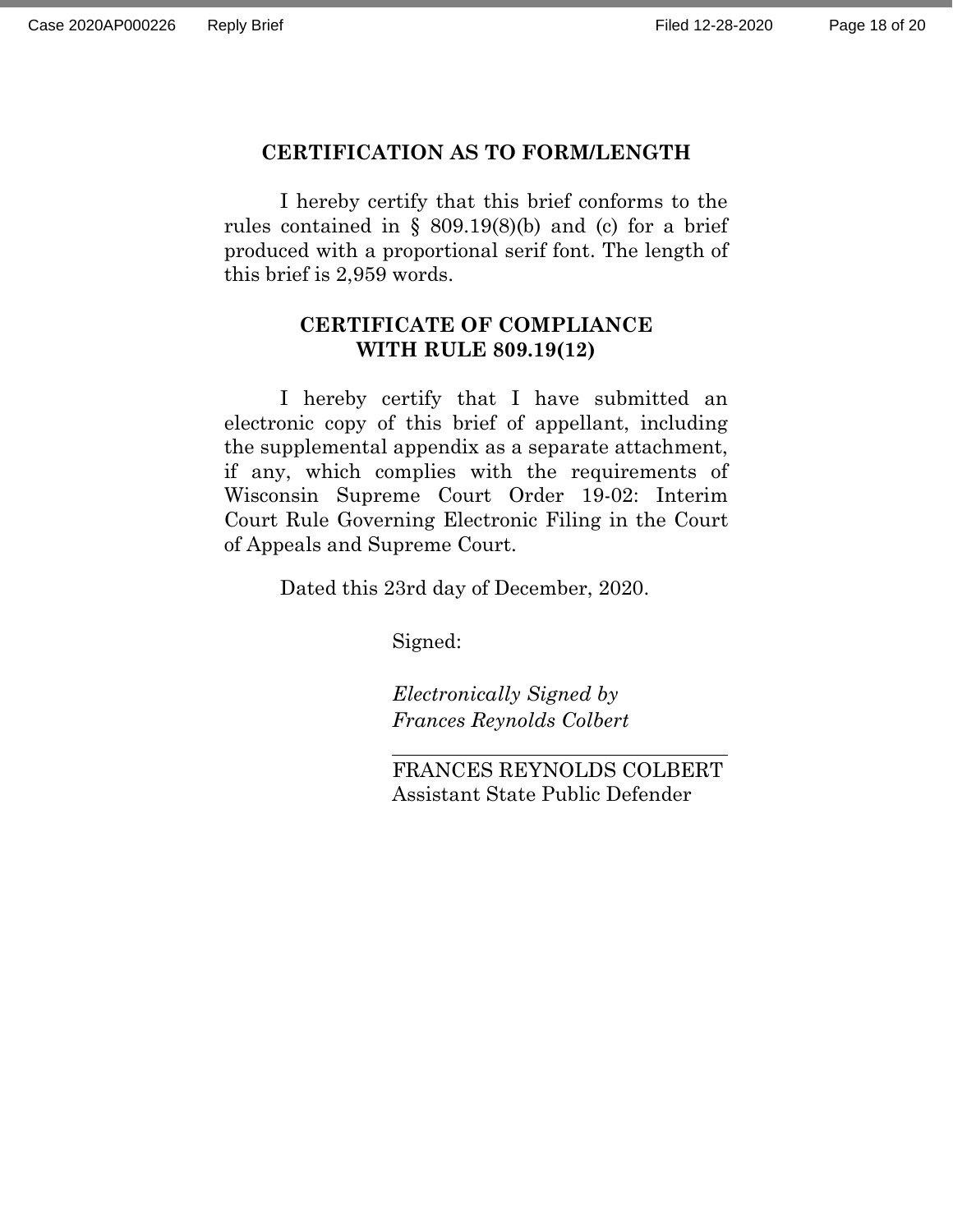#### **CERTIFICATION AS TO FORM/LENGTH**

I hereby certify that this brief conforms to the rules contained in § 809.19 $(8)(b)$  and  $(c)$  for a brief produced with a proportional serif font. The length of this brief is 2,959 words.

### **CERTIFICATE OF COMPLIANCE WITH RULE 809.19(12)**

I hereby certify that I have submitted an electronic copy of this brief of appellant, including the supplemental appendix as a separate attachment, if any, which complies with the requirements of Wisconsin Supreme Court Order 19-02: Interim Court Rule Governing Electronic Filing in the Court of Appeals and Supreme Court.

Dated this 23rd day of December, 2020.

Signed:

*Electronically Signed by Frances Reynolds Colbert*

FRANCES REYNOLDS COLBERT Assistant State Public Defender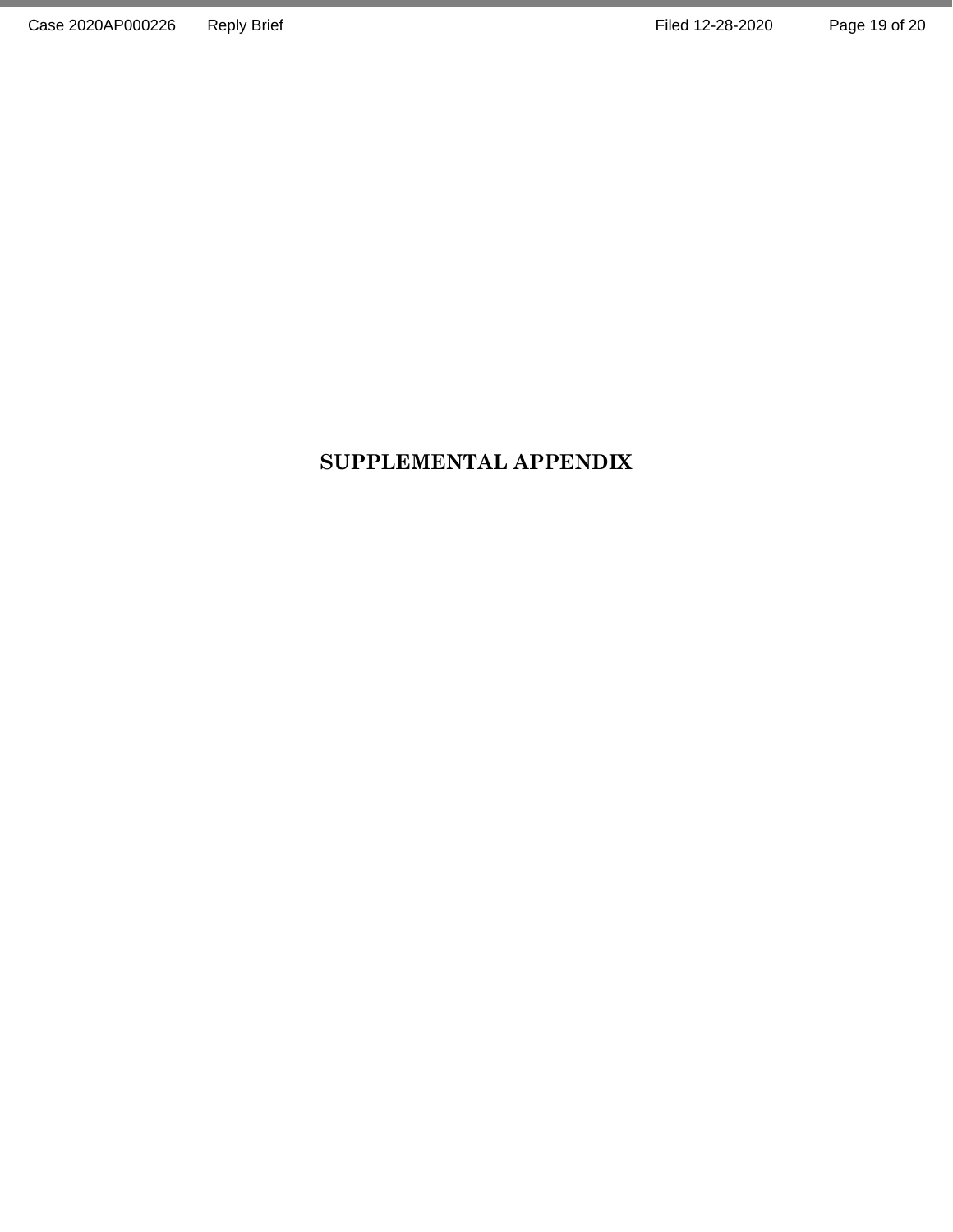# **SUPPLEMENTAL APPENDIX**